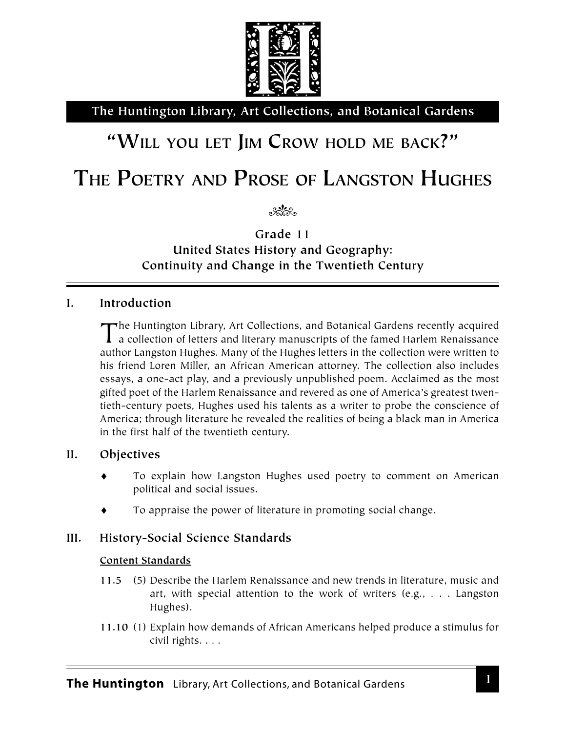

**The Huntington Library, Art Collections, and Botanical Gardens**

# **"WILL YOU LET JIM CROW HOLD ME BACK?"**

# **THE POETRY AND PROSE OF LANGSTON HUGHES**

 $\sim$ 

**Grade 11 United States History and Geography: Continuity and Change in the Twentieth Century**

## **I. Introduction**

The Huntington Library, Art Collections, and Botanical Gardens recently acquired **I** a collection of letters and literary manuscripts of the famed Harlem Renaissance author Langston Hughes. Many of the Hughes letters in the collection were written to his friend Loren Miller, an African American attorney. The collection also includes essays, a one-act play, and a previously unpublished poem. Acclaimed as the most gifted poet of the Harlem Renaissance and revered as one of America's greatest twentieth-century poets, Hughes used his talents as a writer to probe the conscience of America; through literature he revealed the realities of being a black man in America in the first half of the twentieth century.

## **II. Objectives**

- To explain how Langston Hughes used poetry to comment on American political and social issues.
- To appraise the power of literature in promoting social change.

# **III. History-Social Science Standards**

### **Content Standards**

- **11.5** (5) Describe the Harlem Renaissance and new trends in literature, music and art, with special attention to the work of writers (e.g., . . . Langston Hughes).
- **11.10** (1) Explain how demands of African Americans helped produce a stimulus for civil rights. . . .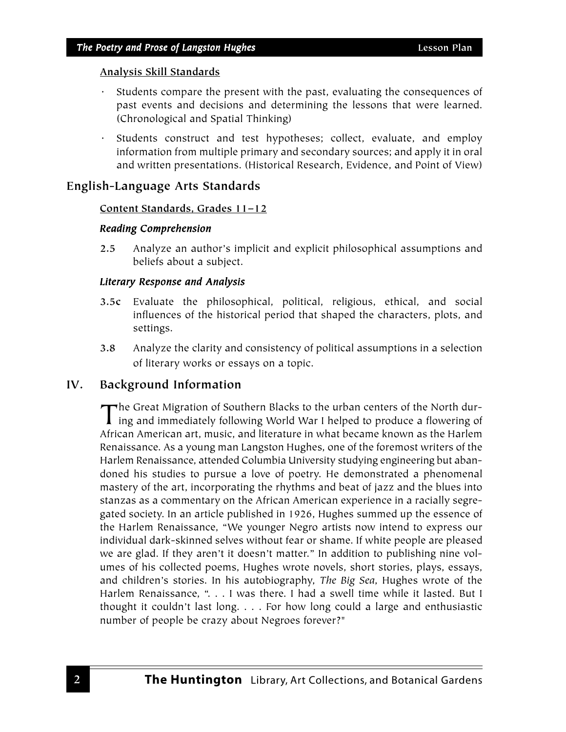- Students compare the present with the past, evaluating the consequences of past events and decisions and determining the lessons that were learned. (Chronological and Spatial Thinking)
- · Students construct and test hypotheses; collect, evaluate, and employ information from multiple primary and secondary sources; and apply it in oral and written presentations. (Historical Research, Evidence, and Point of View)

## **English-Language Arts Standards**

## **Content Standards, Grades 11–12**

## *Reading Comprehension*

**2.5** Analyze an author's implicit and explicit philosophical assumptions and beliefs about a subject.

## *Literary Response and Analysis Response Analysis*

- **3.5c** Evaluate the philosophical, political, religious, ethical, and social influences of the historical period that shaped the characters, plots, and settings.
- **3.8** Analyze the clarity and consistency of political assumptions in a selection of literary works or essays on a topic.

# **IV. Background Information**

The Great Migration of Southern Blacks to the urban centers of the North dur-I ing and immediately following World War I helped to produce a flowering of African American art, music, and literature in what became known as the Harlem Renaissance. As a young man Langston Hughes, one of the foremost writers of the Harlem Renaissance, attended Columbia University studying engineering but abandoned his studies to pursue a love of poetry. He demonstrated a phenomenal mastery of the art, incorporating the rhythms and beat of jazz and the blues into stanzas as a commentary on the African American experience in a racially segregated society. In an article published in 1926, Hughes summed up the essence of the Harlem Renaissance, "We younger Negro artists now intend to express our individual dark-skinned selves without fear or shame. If white people are pleased we are glad. If they aren't it doesn't matter." In addition to publishing nine volumes of his collected poems, Hughes wrote novels, short stories, plays, essays, and children's stories. In his autobiography, *The Big Sea*, Hughes wrote of the Harlem Renaissance, ". . . I was there. I had a swell time while it lasted. But I thought it couldn't last long. . . . For how long could a large and enthusiastic number of people be crazy about Negroes forever?"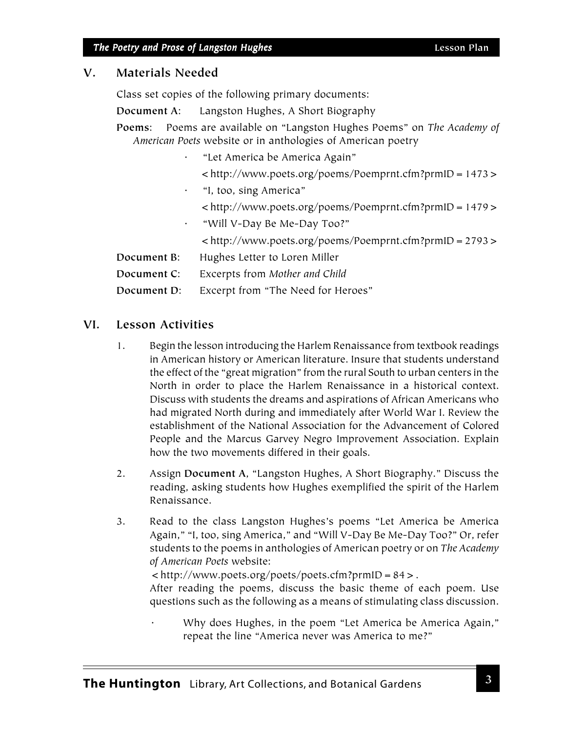## **V. Materials Needed**

Class set copies of the following primary documents:

**Document A**: Langston Hughes, A Short Biography

**Poems**: Poems are available on "Langston Hughes Poems" on *The Academy of American Poets* website or in anthologies of American poetry

- · "Let America be America Again"
	- <http://www.poets.org/poems/Poemprnt.cfm?prmID=1473>
- · "I, too, sing America"
	- <http://www.poets.org/poems/Poemprnt.cfm?prmID=1479>
- · "Will V-Day Be Me-Day Too?"
	- <http://www.poets.org/poems/Poemprnt.cfm?prmID=2793>
- **Document B**: Hughes Letter to Loren Miller
- **Document C**: Excerpts from *Mother and Child*
- **Document D**: Excerpt from "The Need for Heroes"

## **VI. Lesson Activities**

- 1. Begin the lesson introducing the Harlem Renaissance from textbook readings in American history or American literature. Insure that students understand the effect of the "great migration" from the rural South to urban centers in the North in order to place the Harlem Renaissance in a historical context. Discuss with students the dreams and aspirations of African Americans who had migrated North during and immediately after World War I. Review the establishment of the National Association for the Advancement of Colored People and the Marcus Garvey Negro Improvement Association. Explain how the two movements differed in their goals.
- 2. Assign **Document A**, "Langston Hughes, A Short Biography." Discuss the reading, asking students how Hughes exemplified the spirit of the Harlem Renaissance.
- 3. Read to the class Langston Hughes's poems "Let America be America Again," "I, too, sing America," and "Will V-Day Be Me-Day Too?" Or, refer students to the poems in anthologies of American poetry or on *The Academy of American Poets* website:

<http://www.poets.org/poets/poets.cfm?prmID=84>.

After reading the poems, discuss the basic theme of each poem. Use questions such as the following as a means of stimulating class discussion.

Why does Hughes, in the poem "Let America be America Again," repeat the line "America never was America to me?"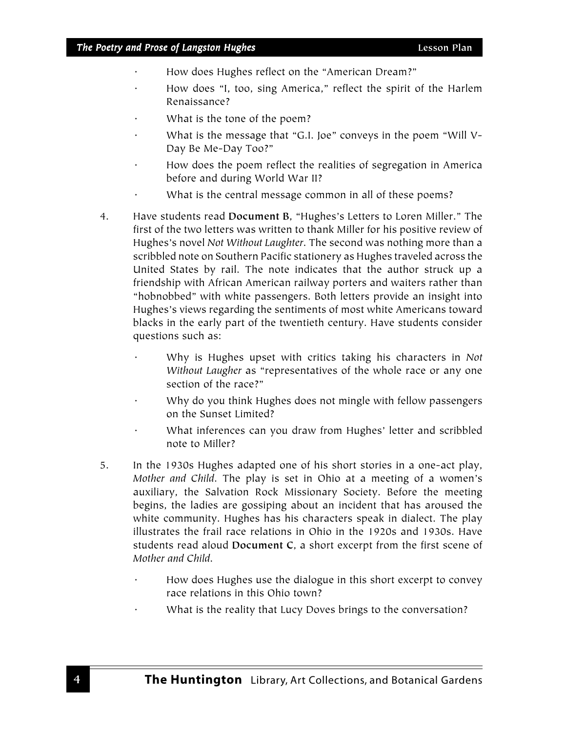- · How does Hughes reflect on the "American Dream?"
- How does "I, too, sing America," reflect the spirit of the Harlem Renaissance?
- What is the tone of the poem?
- · What is the message that "G.I. Joe" conveys in the poem "Will V-Day Be Me-Day Too?"
- How does the poem reflect the realities of segregation in America before and during World War II?
- What is the central message common in all of these poems?
- 4. Have students read **Document B**, "Hughes's Letters to Loren Miller." The first of the two letters was written to thank Miller for his positive review of Hughes's novel *Not Without Laughter*. The second was nothing more than a scribbled note on Southern Pacific stationery as Hughes traveled across the United States by rail. The note indicates that the author struck up a friendship with African American railway porters and waiters rather than "hobnobbed" with white passengers. Both letters provide an insight into Hughes's views regarding the sentiments of most white Americans toward blacks in the early part of the twentieth century. Have students consider questions such as:
	- · Why is Hughes upset with critics taking his characters in *Not Without Laugher* as "representatives of the whole race or any one section of the race?"
	- Why do you think Hughes does not mingle with fellow passengers on the Sunset Limited?
	- What inferences can you draw from Hughes' letter and scribbled note to Miller?
- 5. In the 1930s Hughes adapted one of his short stories in a one-act play, *Mother and Child*. The play is set in Ohio at a meeting of a women's auxiliary, the Salvation Rock Missionary Society. Before the meeting begins, the ladies are gossiping about an incident that has aroused the white community. Hughes has his characters speak in dialect. The play illustrates the frail race relations in Ohio in the 1920s and 1930s. Have students read aloud **Document C**, a short excerpt from the first scene of *Mother and Child*.
	- How does Hughes use the dialogue in this short excerpt to convey race relations in this Ohio town?
	- What is the reality that Lucy Doves brings to the conversation?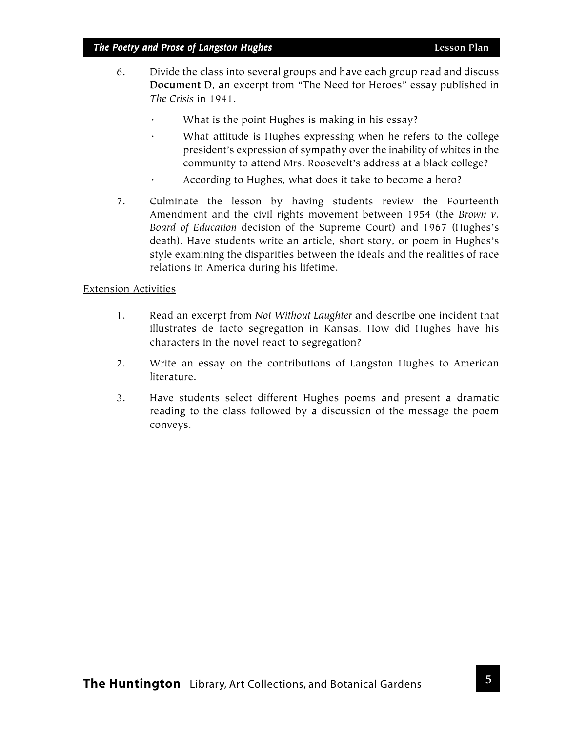## *The Poetry and Prose of Langston Hughes* **Lesson Plan**

- 6. Divide the class into several groups and have each group read and discuss **Document D**, an excerpt from "The Need for Heroes" essay published in *The Crisis* in 1941.
	- What is the point Hughes is making in his essay?
	- What attitude is Hughes expressing when he refers to the college president's expression of sympathy over the inability of whites in the community to attend Mrs. Roosevelt's address at a black college?
	- According to Hughes, what does it take to become a hero?
- 7. Culminate the lesson by having students review the Fourteenth Amendment and the civil rights movement between 1954 (the *Brown v. Board of Education* decision of the Supreme Court) and 1967 (Hughes's death). Have students write an article, short story, or poem in Hughes's style examining the disparities between the ideals and the realities of race relations in America during his lifetime.

#### Extension Activities

- 1. Read an excerpt from *Not Without Laughter* and describe one incident that illustrates de facto segregation in Kansas. How did Hughes have his characters in the novel react to segregation?
- 2. Write an essay on the contributions of Langston Hughes to American literature.
- 3. Have students select different Hughes poems and present a dramatic reading to the class followed by a discussion of the message the poem conveys.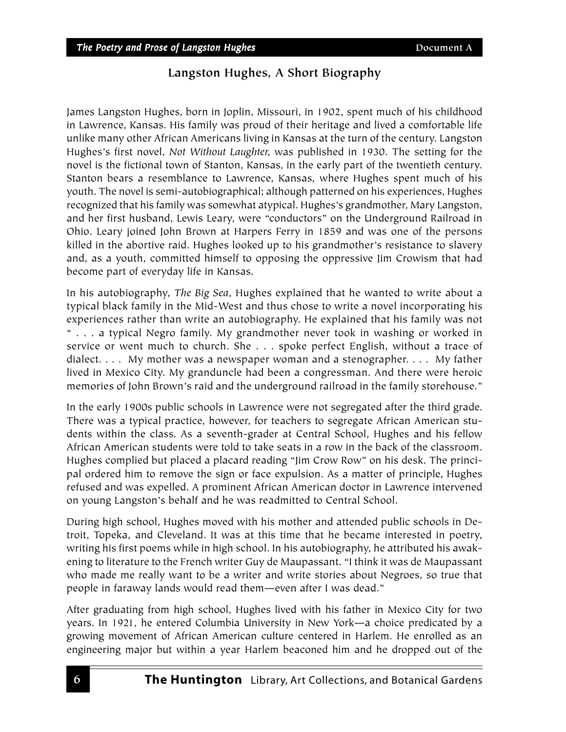# **Langston Hughes, A Short Biography**

James Langston Hughes, born in Joplin, Missouri, in 1902, spent much of his childhood in Lawrence, Kansas. His family was proud of their heritage and lived a comfortable life unlike many other African Americans living in Kansas at the turn of the century. Langston Hughes's first novel, *Not Without Laughter,* was published in 1930. The setting for the novel is the fictional town of Stanton, Kansas, in the early part of the twentieth century. Stanton bears a resemblance to Lawrence, Kansas, where Hughes spent much of his youth. The novel is semi-autobiographical; although patterned on his experiences, Hughes recognized that his family was somewhat atypical. Hughes's grandmother, Mary Langston, and her first husband, Lewis Leary, were "conductors" on the Underground Railroad in Ohio. Leary joined John Brown at Harpers Ferry in 1859 and was one of the persons killed in the abortive raid. Hughes looked up to his grandmother's resistance to slavery and, as a youth, committed himself to opposing the oppressive Jim Crowism that had become part of everyday life in Kansas.

In his autobiography, *The Big Sea*, Hughes explained that he wanted to write about a typical black family in the Mid-West and thus chose to write a novel incorporating his experiences rather than write an autobiography. He explained that his family was not " . . . a typical Negro family. My grandmother never took in washing or worked in service or went much to church. She . . . spoke perfect English, without a trace of dialect. . . . My mother was a newspaper woman and a stenographer. . . . My father lived in Mexico City. My granduncle had been a congressman. And there were heroic memories of John Brown's raid and the underground railroad in the family storehouse."

In the early 1900s public schools in Lawrence were not segregated after the third grade. There was a typical practice, however, for teachers to segregate African American students within the class. As a seventh-grader at Central School, Hughes and his fellow African American students were told to take seats in a row in the back of the classroom. Hughes complied but placed a placard reading "Jim Crow Row" on his desk. The principal ordered him to remove the sign or face expulsion. As a matter of principle, Hughes refused and was expelled. A prominent African American doctor in Lawrence intervened on young Langston's behalf and he was readmitted to Central School.

During high school, Hughes moved with his mother and attended public schools in Detroit, Topeka, and Cleveland. It was at this time that he became interested in poetry, writing his first poems while in high school. In his autobiography, he attributed his awakening to literature to the French writer Guy de Maupassant. "I think it was de Maupassant who made me really want to be a writer and write stories about Negroes, so true that people in faraway lands would read them—even after I was dead."

After graduating from high school, Hughes lived with his father in Mexico City for two years. In 1921, he entered Columbia University in New York—a choice predicated by a growing movement of African American culture centered in Harlem. He enrolled as an engineering major but within a year Harlem beaconed him and he dropped out of the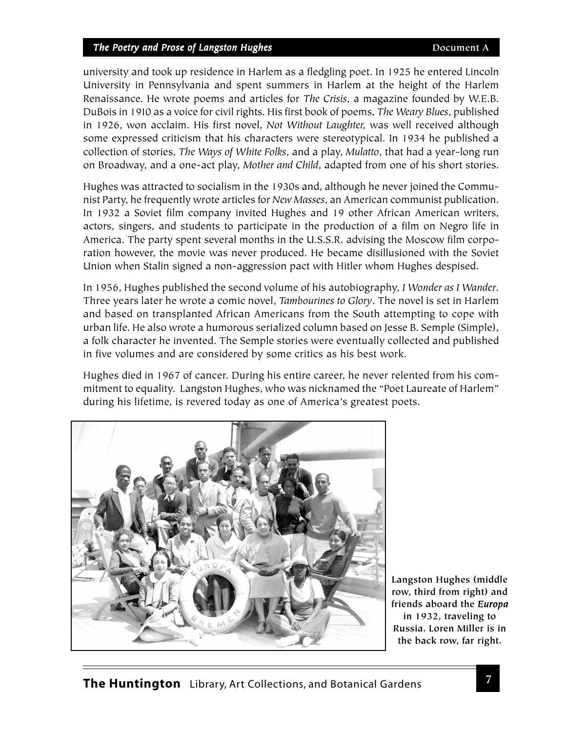#### *The Poetry and Prose of Langston Hughes* **Document A**

university and took up residence in Harlem as a fledgling poet. In 1925 he entered Lincoln University in Pennsylvania and spent summers in Harlem at the height of the Harlem Renaissance. He wrote poems and articles for *The Crisis*, a magazine founded by W.E.B. DuBois in 1910 as a voice for civil rights. His first book of poems, *The Weary Blues*, published in 1926, won acclaim. His first novel, *Not Without Laughter,* was well received although some expressed criticism that his characters were stereotypical. In 1934 he published a collection of stories, *The Ways of White Folks*, and a play, *Mulatto*, that had a year-long run on Broadway, and a one-act play, *Mother and Child*, adapted from one of his short stories.

Hughes was attracted to socialism in the 1930s and, although he never joined the Communist Party, he frequently wrote articles for *New Masses*, an American communist publication. In 1932 a Soviet film company invited Hughes and 19 other African American writers, actors, singers, and students to participate in the production of a film on Negro life in America. The party spent several months in the U.S.S.R. advising the Moscow film corporation however, the movie was never produced. He became disillusioned with the Soviet Union when Stalin signed a non-aggression pact with Hitler whom Hughes despised.

In 1956, Hughes published the second volume of his autobiography, *I Wonder as I Wander*. Three years later he wrote a comic novel, *Tambourines to Glory*. The novel is set in Harlem and based on transplanted African Americans from the South attempting to cope with urban life. He also wrote a humorous serialized column based on Jesse B. Semple (Simple), a folk character he invented. The Semple stories were eventually collected and published in five volumes and are considered by some critics as his best work.

Hughes died in 1967 of cancer. During his entire career, he never relented from his commitment to equality. Langston Hughes, who was nicknamed the "Poet Laureate of Harlem" during his lifetime, is revered today as one of America's greatest poets.



**Langston Hughes (middle row, third from right) and friends aboard the** *Europa* **in 1932, traveling to Russia. Loren Miller is in the back row, far right.**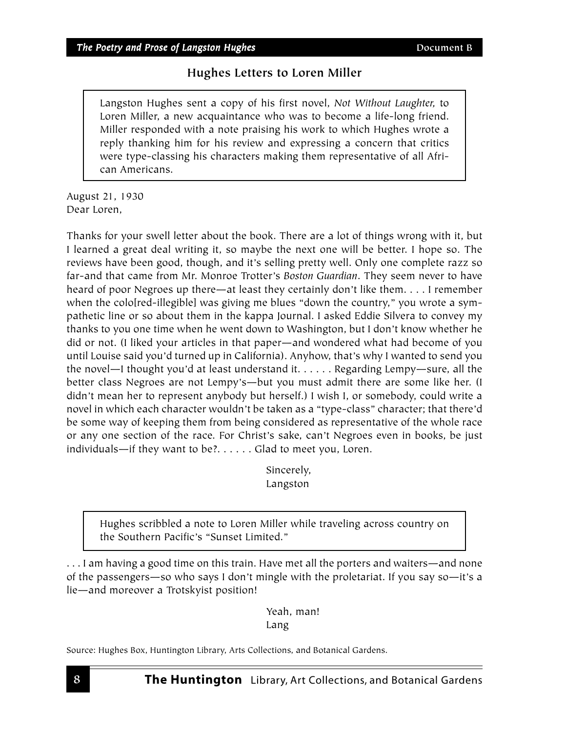# **Hughes Letters to Loren Miller**

Langston Hughes sent a copy of his first novel, *Not Without Laughter,* to Loren Miller, a new acquaintance who was to become a life-long friend. Miller responded with a note praising his work to which Hughes wrote a reply thanking him for his review and expressing a concern that critics were type-classing his characters making them representative of all African Americans.

August 21, 1930 Dear Loren,

Thanks for your swell letter about the book. There are a lot of things wrong with it, but I learned a great deal writing it, so maybe the next one will be better. I hope so. The reviews have been good, though, and it's selling pretty well. Only one complete razz so far-and that came from Mr. Monroe Trotter's *Boston Guardian*. They seem never to have heard of poor Negroes up there—at least they certainly don't like them. . . . I remember when the colo[red-illegible] was giving me blues "down the country," you wrote a sympathetic line or so about them in the kappa Journal. I asked Eddie Silvera to convey my thanks to you one time when he went down to Washington, but I don't know whether he did or not. (I liked your articles in that paper—and wondered what had become of you until Louise said you'd turned up in California). Anyhow, that's why I wanted to send you the novel—I thought you'd at least understand it. . . . . . Regarding Lempy—sure, all the better class Negroes are not Lempy's—but you must admit there are some like her. (I didn't mean her to represent anybody but herself.) I wish I, or somebody, could write a novel in which each character wouldn't be taken as a "type-class" character; that there'd be some way of keeping them from being considered as representative of the whole race or any one section of the race. For Christ's sake, can't Negroes even in books, be just individuals—if they want to be?. . . . . . Glad to meet you, Loren.

> Sincerely, Langston

Hughes scribbled a note to Loren Miller while traveling across country on the Southern Pacific's "Sunset Limited."

. . . I am having a good time on this train. Have met all the porters and waiters—and none of the passengers—so who says I don't mingle with the proletariat. If you say so—it's a lie—and moreover a Trotskyist position!

> Yeah, man! Lang

Source: Hughes Box, Huntington Library, Arts Collections, and Botanical Gardens.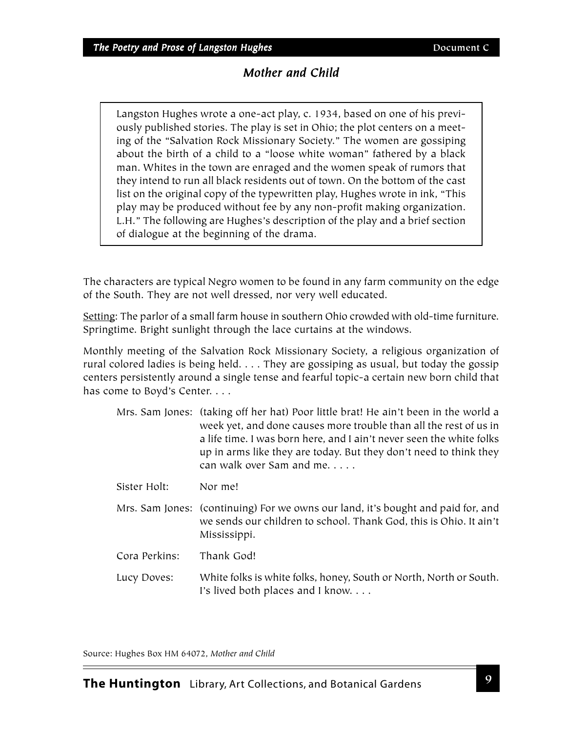# *Mother and Child*

Langston Hughes wrote a one-act play, c. 1934, based on one of his previously published stories. The play is set in Ohio; the plot centers on a meeting of the "Salvation Rock Missionary Society." The women are gossiping about the birth of a child to a "loose white woman" fathered by a black man. Whites in the town are enraged and the women speak of rumors that they intend to run all black residents out of town. On the bottom of the cast list on the original copy of the typewritten play, Hughes wrote in ink, "This play may be produced without fee by any non-profit making organization. L.H." The following are Hughes's description of the play and a brief section of dialogue at the beginning of the drama.

The characters are typical Negro women to be found in any farm community on the edge of the South. They are not well dressed, nor very well educated.

Setting: The parlor of a small farm house in southern Ohio crowded with old-time furniture. Springtime. Bright sunlight through the lace curtains at the windows.

Monthly meeting of the Salvation Rock Missionary Society, a religious organization of rural colored ladies is being held. . . . They are gossiping as usual, but today the gossip centers persistently around a single tense and fearful topic-a certain new born child that has come to Boyd's Center. . . .

|               | Mrs. Sam Jones: (taking off her hat) Poor little brat! He ain't been in the world a<br>week yet, and done causes more trouble than all the rest of us in<br>a life time. I was born here, and I ain't never seen the white folks<br>up in arms like they are today. But they don't need to think they<br>can walk over Sam and me. |
|---------------|------------------------------------------------------------------------------------------------------------------------------------------------------------------------------------------------------------------------------------------------------------------------------------------------------------------------------------|
| Sister Holt:  | Nor me!                                                                                                                                                                                                                                                                                                                            |
|               | Mrs. Sam Jones: (continuing) For we owns our land, it's bought and paid for, and<br>we sends our children to school. Thank God, this is Ohio. It ain't<br>Mississippi.                                                                                                                                                             |
| Cora Perkins: | Thank God!                                                                                                                                                                                                                                                                                                                         |
| Lucy Doves:   | White folks is white folks, honey, South or North, North or South.<br>I's lived both places and I know.                                                                                                                                                                                                                            |

Source: Hughes Box HM 64072, *Mother and Child*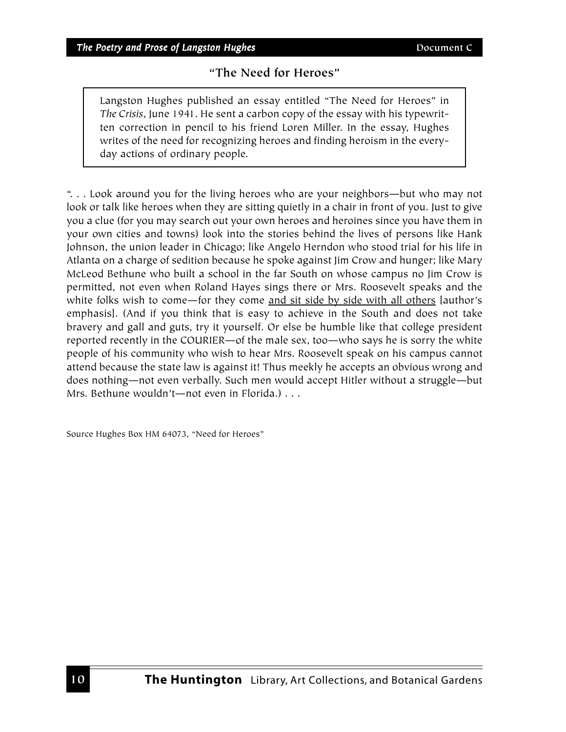# **"The Need for Heroes"**

Langston Hughes published an essay entitled "The Need for Heroes" in *The Crisis*, June 1941. He sent a carbon copy of the essay with his typewritten correction in pencil to his friend Loren Miller. In the essay, Hughes writes of the need for recognizing heroes and finding heroism in the everyday actions of ordinary people.

". . . Look around you for the living heroes who are your neighbors—but who may not look or talk like heroes when they are sitting quietly in a chair in front of you. Just to give you a clue (for you may search out your own heroes and heroines since you have them in your own cities and towns) look into the stories behind the lives of persons like Hank Johnson, the union leader in Chicago; like Angelo Herndon who stood trial for his life in Atlanta on a charge of sedition because he spoke against Jim Crow and hunger; like Mary McLeod Bethune who built a school in the far South on whose campus no Jim Crow is permitted, not even when Roland Hayes sings there or Mrs. Roosevelt speaks and the white folks wish to come—for they come and sit side by side with all others [author's emphasis]. (And if you think that is easy to achieve in the South and does not take bravery and gall and guts, try it yourself. Or else be humble like that college president reported recently in the COURIER—of the male sex, too—who says he is sorry the white people of his community who wish to hear Mrs. Roosevelt speak on his campus cannot attend because the state law is against it! Thus meekly he accepts an obvious wrong and does nothing—not even verbally. Such men would accept Hitler without a struggle—but Mrs. Bethune wouldn't—not even in Florida.) . . .

Source Hughes Box HM 64073, "Need for Heroes"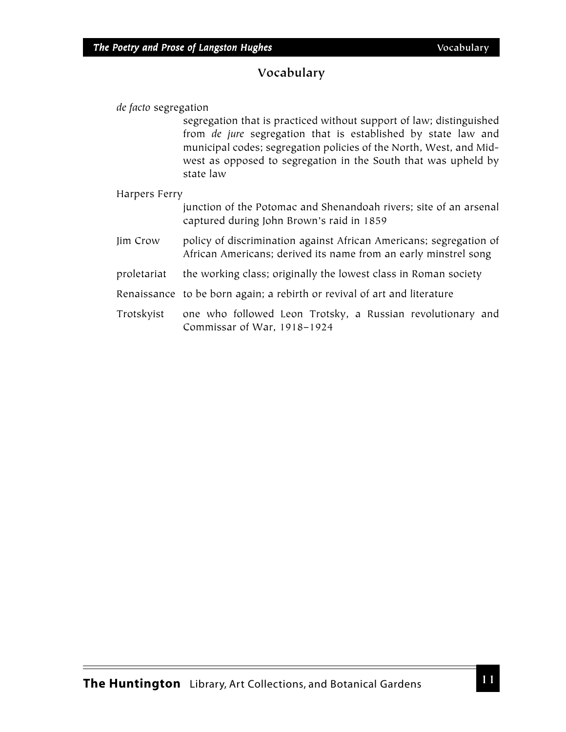# **Vocabulary**

*de facto* segregation

segregation that is practiced without support of law; distinguished from *de jure* segregation that is established by state law and municipal codes; segregation policies of the North, West, and Midwest as opposed to segregation in the South that was upheld by state law

#### Harpers Ferry

junction of the Potomac and Shenandoah rivers; site of an arsenal captured during John Brown's raid in 1859

Jim Crow policy of discrimination against African Americans; segregation of African Americans; derived its name from an early minstrel song

- proletariat the working class; originally the lowest class in Roman society
- Renaissance to be born again; a rebirth or revival of art and literature
- Trotskyist one who followed Leon Trotsky, a Russian revolutionary and Commissar of War, 1918–1924